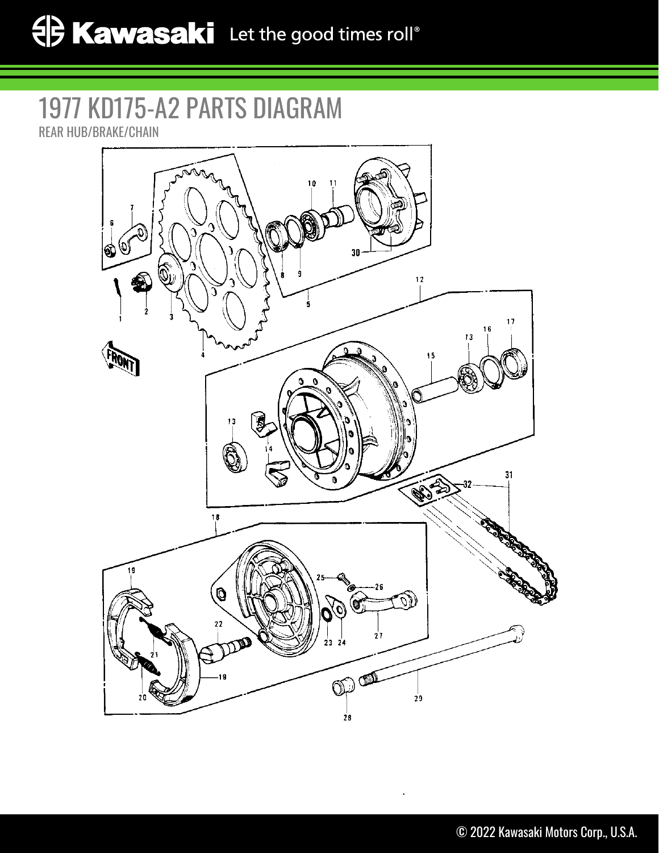## 1977 KD175-A2 PARTS DIAGRAM REAR HUB/BRAKE/CHAIN

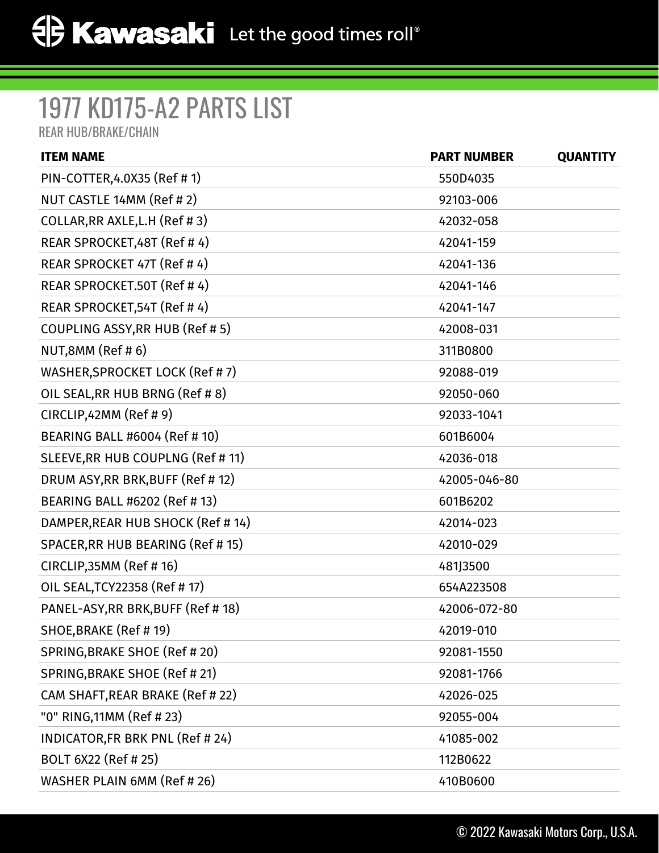## 1977 KD175-A2 PARTS LIST

REAR HUB/BRAKE/CHAIN

| <b>ITEM NAME</b>                  | <b>PART NUMBER</b> | <b>QUANTITY</b> |
|-----------------------------------|--------------------|-----------------|
| PIN-COTTER, 4.0X35 (Ref # 1)      | 550D4035           |                 |
| NUT CASTLE 14MM (Ref # 2)         | 92103-006          |                 |
| COLLAR, RR AXLE, L.H (Ref # 3)    | 42032-058          |                 |
| REAR SPROCKET, 48T (Ref #4)       | 42041-159          |                 |
| REAR SPROCKET 47T (Ref # 4)       | 42041-136          |                 |
| REAR SPROCKET.50T (Ref #4)        | 42041-146          |                 |
| REAR SPROCKET, 54T (Ref # 4)      | 42041-147          |                 |
| COUPLING ASSY, RR HUB (Ref # 5)   | 42008-031          |                 |
| NUT,8MM (Ref #6)                  | 311B0800           |                 |
| WASHER, SPROCKET LOCK (Ref #7)    | 92088-019          |                 |
| OIL SEAL, RR HUB BRNG (Ref # 8)   | 92050-060          |                 |
| CIRCLIP,42MM (Ref # 9)            | 92033-1041         |                 |
| BEARING BALL #6004 (Ref # 10)     | 601B6004           |                 |
| SLEEVE, RR HUB COUPLNG (Ref # 11) | 42036-018          |                 |
| DRUM ASY, RR BRK, BUFF (Ref #12)  | 42005-046-80       |                 |
| BEARING BALL #6202 (Ref # 13)     | 601B6202           |                 |
| DAMPER, REAR HUB SHOCK (Ref # 14) | 42014-023          |                 |
| SPACER, RR HUB BEARING (Ref # 15) | 42010-029          |                 |
| CIRCLIP, 35MM (Ref #16)           | 481J3500           |                 |
| OIL SEAL, TCY 22358 (Ref # 17)    | 654A223508         |                 |
| PANEL-ASY, RR BRK, BUFF (Ref #18) | 42006-072-80       |                 |
| SHOE, BRAKE (Ref #19)             | 42019-010          |                 |
| SPRING, BRAKE SHOE (Ref # 20)     | 92081-1550         |                 |
| SPRING, BRAKE SHOE (Ref # 21)     | 92081-1766         |                 |
| CAM SHAFT, REAR BRAKE (Ref # 22)  | 42026-025          |                 |
| "0" RING, 11MM (Ref # 23)         | 92055-004          |                 |
| INDICATOR, FR BRK PNL (Ref # 24)  | 41085-002          |                 |
| BOLT 6X22 (Ref # 25)              | 112B0622           |                 |
| WASHER PLAIN 6MM (Ref # 26)       | 410B0600           |                 |